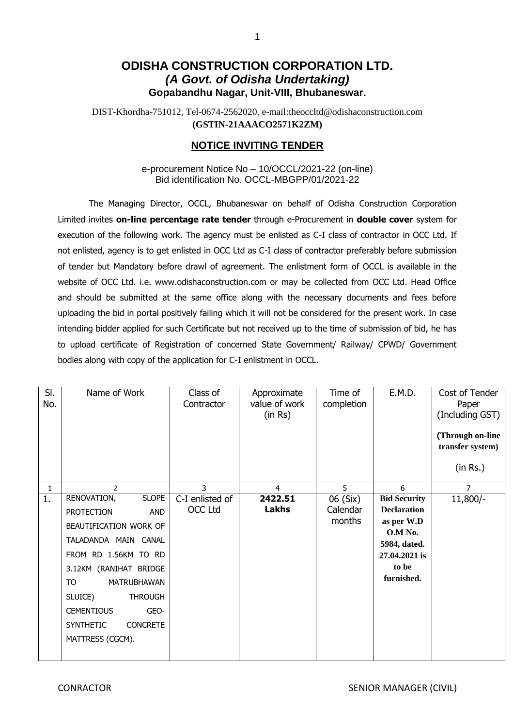## **ODISHA CONSTRUCTION CORPORATION LTD.** *(A Govt. of Odisha Undertaking)* **Gopabandhu Nagar, Unit-VIII, Bhubaneswar.**

DIST-Khordha-751012, Tel-0674-2562020, e-mail:theoccltd@odishaconstruction.com **(GSTIN-21AAACO2571K2ZM)**

### **NOTICE INVITING TENDER**

e-procurement Notice No – 10/OCCL/2021-22 (on-line) Bid identification No. OCCL-MBGPP/01/2021-22

The Managing Director, OCCL, Bhubaneswar on behalf of Odisha Construction Corporation Limited invites **on-line percentage rate tender** through e-Procurement in **double cover** system for execution of the following work. The agency must be enlisted as C-I class of contractor in OCC Ltd. If not enlisted, agency is to get enlisted in OCC Ltd as C-I class of contractor preferably before submission of tender but Mandatory before drawl of agreement. The enlistment form of OCCL is available in the website of OCC Ltd. i.e. www.odishaconstruction.com or may be collected from OCC Ltd. Head Office and should be submitted at the same office along with the necessary documents and fees before uploading the bid in portal positively failing which it will not be considered for the present work. In case intending bidder applied for such Certificate but not received up to the time of submission of bid, he has to upload certificate of Registration of concerned State Government/ Railway/ CPWD/ Government bodies along with copy of the application for C-I enlistment in OCCL.

| SI.<br>No. | Name of Work                        | Class of<br>Contractor | Approximate<br>value of work<br>(in Rs) | Time of<br>completion | E.M.D.                  | Cost of Tender<br>Paper<br>(Including GST)<br>(Through on-line<br>transfer system)<br>(in Rs.) |
|------------|-------------------------------------|------------------------|-----------------------------------------|-----------------------|-------------------------|------------------------------------------------------------------------------------------------|
| 1          | $\overline{2}$                      | 3                      | 4                                       | 5                     | 6                       | 7                                                                                              |
| 1.         | <b>SLOPE</b><br>RENOVATION,         | C-I enlisted of        | 2422.51                                 | 06 (Six)              | <b>Bid Security</b>     | $11,800/-$                                                                                     |
|            | <b>PROTECTION</b><br><b>AND</b>     | <b>OCC Ltd</b>         | <b>Lakhs</b>                            | Calendar              | <b>Declaration</b>      |                                                                                                |
|            | BEAUTIFICATION WORK OF              |                        |                                         | months                | as per W.D              |                                                                                                |
|            | TALADANDA MAIN CANAL                |                        |                                         |                       | O.M No.<br>5984, dated. |                                                                                                |
|            | FROM RD 1.56KM TO RD                |                        |                                         |                       | 27.04.2021 is           |                                                                                                |
|            | 3.12KM (RANIHAT BRIDGE              |                        |                                         |                       | to be                   |                                                                                                |
|            | TO.<br>MATRUBHAWAN                  |                        |                                         |                       | furnished.              |                                                                                                |
|            | SLUICE)<br><b>THROUGH</b>           |                        |                                         |                       |                         |                                                                                                |
|            | <b>CEMENTIOUS</b><br>GEO-           |                        |                                         |                       |                         |                                                                                                |
|            | <b>SYNTHETIC</b><br><b>CONCRETE</b> |                        |                                         |                       |                         |                                                                                                |
|            | MATTRESS (CGCM).                    |                        |                                         |                       |                         |                                                                                                |
|            |                                     |                        |                                         |                       |                         |                                                                                                |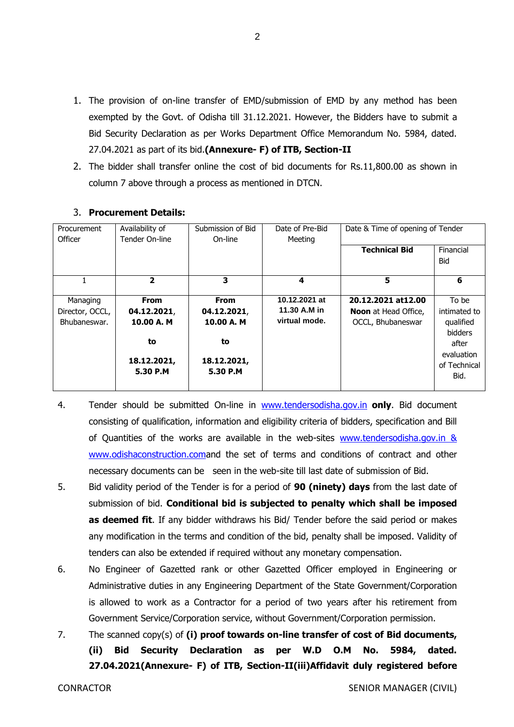1. The provision of on-line transfer of EMD/submission of EMD by any method has been exempted by the Govt. of Odisha till 31.12.2021. However, the Bidders have to submit a Bid Security Declaration as per Works Department Office Memorandum No. 5984, dated. 27.04.2021 as part of its bid.**(Annexure- F) of ITB, Section-II**

 $\mathfrak{D}$ 

2. The bidder shall transfer online the cost of bid documents for Rs.11,800.00 as shown in column 7 above through a process as mentioned in DTCN.

| Procurement<br>Officer | Availability of<br>Tender On-line | Submission of Bid<br>On-line | Date of Pre-Bid<br>Meeting | Date & Time of opening of Tender |              |
|------------------------|-----------------------------------|------------------------------|----------------------------|----------------------------------|--------------|
|                        |                                   |                              |                            | <b>Technical Bid</b>             | Financial    |
|                        |                                   |                              |                            |                                  | Bid          |
|                        | $\overline{2}$                    | 3                            | 4                          | 5                                | 6            |
| Managing               | From                              | <b>From</b>                  | 10.12.2021 at              | 20.12.2021 at 12.00              | To be        |
| Director, OCCL,        | 04.12.2021,                       | 04.12.2021,                  | 11.30 A.M in               | <b>Noon</b> at Head Office,      | intimated to |
| Bhubaneswar.           | 10.00 A. M                        | 10.00 A. M                   | virtual mode.              | OCCL, Bhubaneswar                | qualified    |
|                        |                                   |                              |                            |                                  | bidders      |
|                        | to                                | to                           |                            |                                  | after        |
|                        |                                   |                              |                            |                                  | evaluation   |
|                        | 18.12.2021,                       | 18.12.2021,                  |                            |                                  | of Technical |
|                        | 5.30 P.M                          | 5.30 P.M                     |                            |                                  | Bid.         |
|                        |                                   |                              |                            |                                  |              |

#### 3. **Procurement Details:**

- 4. Tender should be submitted On-line in [www.tendersodisha.gov.in](http://www.tendersodisha.gov.in/) **only**. Bid document consisting of qualification, information and eligibility criteria of bidders, specification and Bill of Quantities of the works are available in the web-sites www.tendersodisha.gov.in & [www.odishaconstruction.coma](http://www.odishaconstruction.com/)nd the set of terms and conditions of contract and other necessary documents can be seen in the web-site till last date of submission of Bid.
- 5. Bid validity period of the Tender is for a period of **90 (ninety) days** from the last date of submission of bid. **Conditional bid is subjected to penalty which shall be imposed as deemed fit**. If any bidder withdraws his Bid/ Tender before the said period or makes any modification in the terms and condition of the bid, penalty shall be imposed. Validity of tenders can also be extended if required without any monetary compensation.
- 6. No Engineer of Gazetted rank or other Gazetted Officer employed in Engineering or Administrative duties in any Engineering Department of the State Government/Corporation is allowed to work as a Contractor for a period of two years after his retirement from Government Service/Corporation service, without Government/Corporation permission.
- 7. The scanned copy(s) of **(i) proof towards on-line transfer of cost of Bid documents, (ii) Bid Security Declaration as per W.D O.M No. 5984, dated. 27.04.2021(Annexure- F) of ITB, Section-II(iii)Affidavit duly registered before**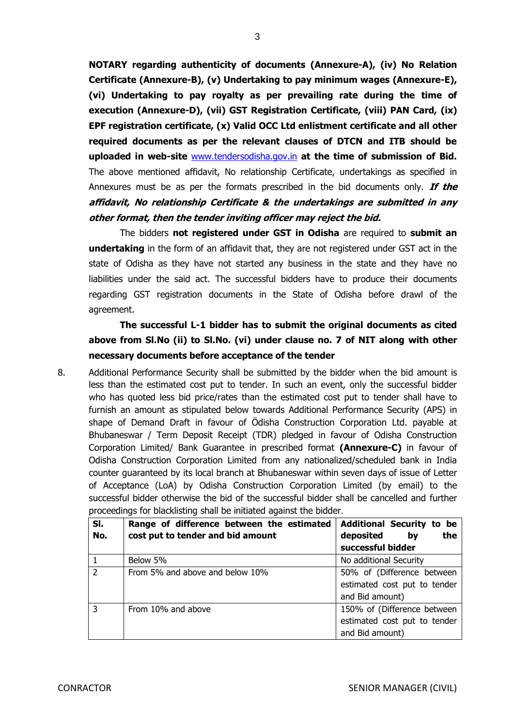**NOTARY regarding authenticity of documents (Annexure-A), (iv) No Relation Certificate (Annexure-B), (v) Undertaking to pay minimum wages (Annexure-E), (vi) Undertaking to pay royalty as per prevailing rate during the time of execution (Annexure-D), (vii) GST Registration Certificate, (viii) PAN Card, (ix) EPF registration certificate, (x) Valid OCC Ltd enlistment certificate and all other required documents as per the relevant clauses of DTCN and ITB should be uploaded in web-site** [www.tendersodisha.gov.in](http://www.tendersodisha.gov.in/) **at the time of submission of Bid.** The above mentioned affidavit, No relationship Certificate, undertakings as specified in Annexures must be as per the formats prescribed in the bid documents only. **If the affidavit, No relationship Certificate & the undertakings are submitted in any other format, then the tender inviting officer may reject the bid.** 

The bidders **not registered under GST in Odisha** are required to **submit an undertaking** in the form of an affidavit that, they are not registered under GST act in the state of Odisha as they have not started any business in the state and they have no liabilities under the said act. The successful bidders have to produce their documents regarding GST registration documents in the State of Odisha before drawl of the agreement.

**The successful L-1 bidder has to submit the original documents as cited above from Sl.No (ii) to Sl.No. (vi) under clause no. 7 of NIT along with other necessary documents before acceptance of the tender**

8. Additional Performance Security shall be submitted by the bidder when the bid amount is less than the estimated cost put to tender. In such an event, only the successful bidder who has quoted less bid price/rates than the estimated cost put to tender shall have to furnish an amount as stipulated below towards Additional Performance Security (APS) in shape of Demand Draft in favour of Ödisha Construction Corporation Ltd. payable at Bhubaneswar / Term Deposit Receipt (TDR) pledged in favour of Odisha Construction Corporation Limited/ Bank Guarantee in prescribed format **(Annexure-C)** in favour of Odisha Construction Corporation Limited from any nationalized/scheduled bank in India counter guaranteed by its local branch at Bhubaneswar within seven days of issue of Letter of Acceptance (LoA) by Odisha Construction Corporation Limited (by email) to the successful bidder otherwise the bid of the successful bidder shall be cancelled and further proceedings for blacklisting shall be initiated against the bidder.

| SI.<br>No.     | Range of difference between the estimated<br>cost put to tender and bid amount | <b>Additional Security to be</b><br>the<br>deposited by |
|----------------|--------------------------------------------------------------------------------|---------------------------------------------------------|
|                |                                                                                | successful bidder                                       |
| $\mathbf{1}$   | Below 5%                                                                       | No additional Security                                  |
| $\overline{2}$ | From 5% and above and below 10%                                                | 50% of (Difference between                              |
|                |                                                                                | estimated cost put to tender                            |
|                |                                                                                | and Bid amount)                                         |
| $\overline{3}$ | From 10% and above                                                             | 150% of (Difference between                             |
|                |                                                                                | estimated cost put to tender                            |
|                |                                                                                | and Bid amount)                                         |